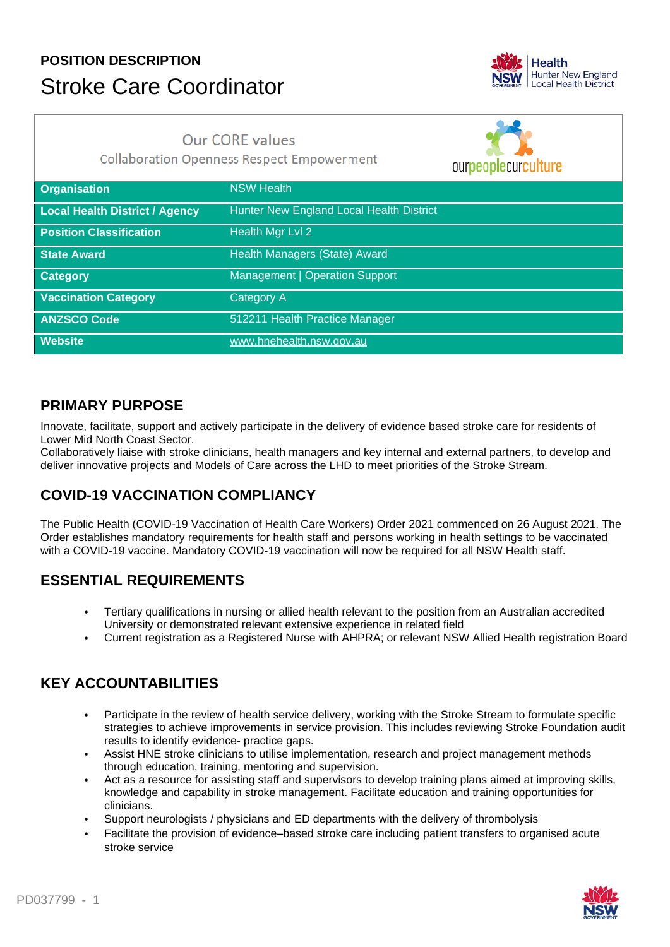# **POSITION DESCRIPTION** Stroke Care Coordinator



## **Our CORE values**

**Collaboration Openness Respect Empowerment** 

ourpeopleourculture **Organisation** NSW Health **Local Health District / Agency** Hunter New England Local Health District **Position Classification** Health Mgr Lvl 2 **State Award Health Managers (State) Award Category Category** Management | Operation Support **Vaccination Category Category A ANZSCO Code** 512211 Health Practice Manager **Website** www.hnehealth.nsw.gov.au

#### **PRIMARY PURPOSE**

Innovate, facilitate, support and actively participate in the delivery of evidence based stroke care for residents of Lower Mid North Coast Sector.

Collaboratively liaise with stroke clinicians, health managers and key internal and external partners, to develop and deliver innovative projects and Models of Care across the LHD to meet priorities of the Stroke Stream.

## **COVID-19 VACCINATION COMPLIANCY**

The Public Health (COVID-19 Vaccination of Health Care Workers) Order 2021 commenced on 26 August 2021. The Order establishes mandatory requirements for health staff and persons working in health settings to be vaccinated with a COVID-19 vaccine. Mandatory COVID-19 vaccination will now be required for all NSW Health staff.

## **ESSENTIAL REQUIREMENTS**

- Tertiary qualifications in nursing or allied health relevant to the position from an Australian accredited University or demonstrated relevant extensive experience in related field
- Current registration as a Registered Nurse with AHPRA; or relevant NSW Allied Health registration Board

### **KEY ACCOUNTABILITIES**

- Participate in the review of health service delivery, working with the Stroke Stream to formulate specific strategies to achieve improvements in service provision. This includes reviewing Stroke Foundation audit results to identify evidence- practice gaps.
- Assist HNE stroke clinicians to utilise implementation, research and project management methods through education, training, mentoring and supervision.
- Act as a resource for assisting staff and supervisors to develop training plans aimed at improving skills, knowledge and capability in stroke management. Facilitate education and training opportunities for clinicians.
- Support neurologists / physicians and ED departments with the delivery of thrombolysis
- Facilitate the provision of evidence–based stroke care including patient transfers to organised acute stroke service

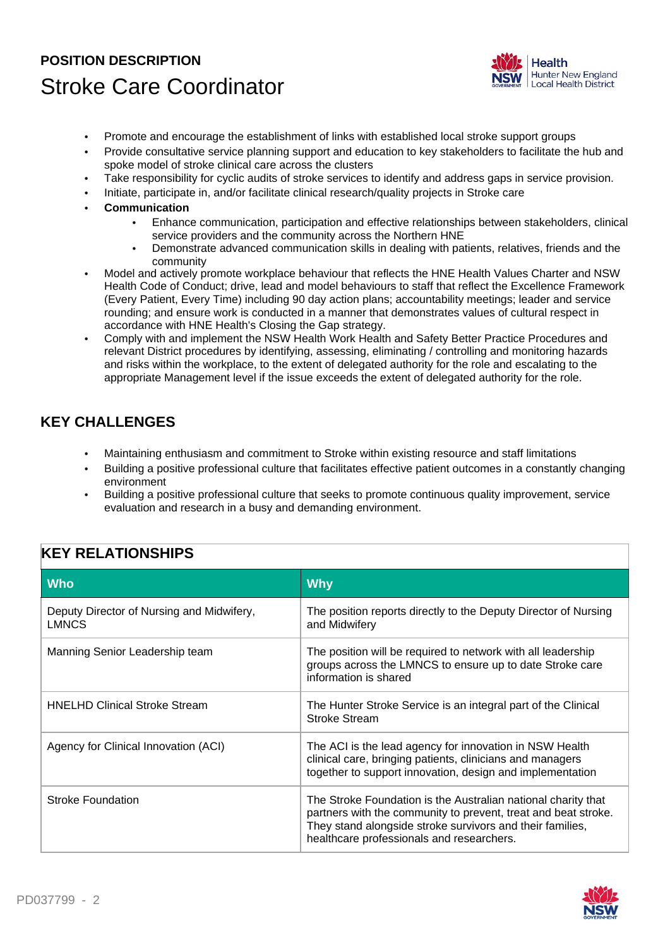## **POSITION DESCRIPTION** Stroke Care Coordinator



- Promote and encourage the establishment of links with established local stroke support groups
- Provide consultative service planning support and education to key stakeholders to facilitate the hub and spoke model of stroke clinical care across the clusters
- Take responsibility for cyclic audits of stroke services to identify and address gaps in service provision.
- Initiate, participate in, and/or facilitate clinical research/quality projects in Stroke care
- **Communication**
	- Enhance communication, participation and effective relationships between stakeholders, clinical service providers and the community across the Northern HNE
	- Demonstrate advanced communication skills in dealing with patients, relatives, friends and the community
- Model and actively promote workplace behaviour that reflects the HNE Health Values Charter and NSW Health Code of Conduct; drive, lead and model behaviours to staff that reflect the Excellence Framework (Every Patient, Every Time) including 90 day action plans; accountability meetings; leader and service rounding; and ensure work is conducted in a manner that demonstrates values of cultural respect in accordance with HNE Health's Closing the Gap strategy.
- Comply with and implement the NSW Health Work Health and Safety Better Practice Procedures and relevant District procedures by identifying, assessing, eliminating / controlling and monitoring hazards and risks within the workplace, to the extent of delegated authority for the role and escalating to the appropriate Management level if the issue exceeds the extent of delegated authority for the role.

### **KEY CHALLENGES**

- Maintaining enthusiasm and commitment to Stroke within existing resource and staff limitations
- Building a positive professional culture that facilitates effective patient outcomes in a constantly changing environment
- Building a positive professional culture that seeks to promote continuous quality improvement, service evaluation and research in a busy and demanding environment.

### **KEY RELATIONSHIPS**

| <b>Who</b>                                                | <b>Why</b>                                                                                                                                                                                                                                |
|-----------------------------------------------------------|-------------------------------------------------------------------------------------------------------------------------------------------------------------------------------------------------------------------------------------------|
| Deputy Director of Nursing and Midwifery,<br><b>LMNCS</b> | The position reports directly to the Deputy Director of Nursing<br>and Midwifery                                                                                                                                                          |
| Manning Senior Leadership team                            | The position will be required to network with all leadership<br>groups across the LMNCS to ensure up to date Stroke care<br>information is shared                                                                                         |
| <b>HNELHD Clinical Stroke Stream</b>                      | The Hunter Stroke Service is an integral part of the Clinical<br><b>Stroke Stream</b>                                                                                                                                                     |
| Agency for Clinical Innovation (ACI)                      | The ACI is the lead agency for innovation in NSW Health<br>clinical care, bringing patients, clinicians and managers<br>together to support innovation, design and implementation                                                         |
| Stroke Foundation                                         | The Stroke Foundation is the Australian national charity that<br>partners with the community to prevent, treat and beat stroke.<br>They stand alongside stroke survivors and their families,<br>healthcare professionals and researchers. |